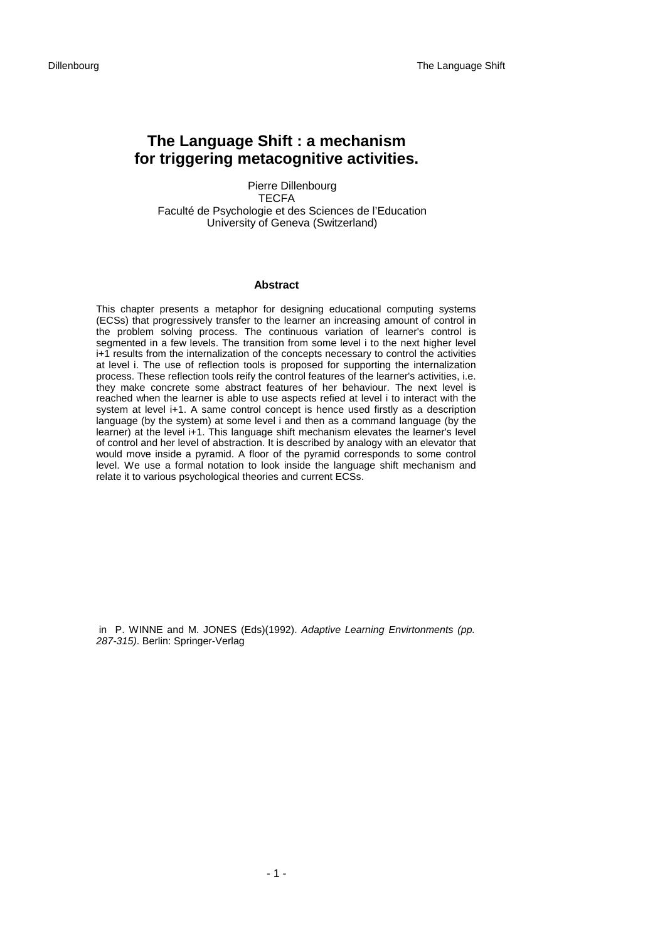# **The Language Shift : a mechanism for triggering metacognitive activities.**

Pierre Dillenbourg **TECFA** Faculté de Psychologie et des Sciences de l'Education University of Geneva (Switzerland)

### **Abstract**

This chapter presents a metaphor for designing educational computing systems (ECSs) that progressively transfer to the learner an increasing amount of control in the problem solving process. The continuous variation of learner's control is segmented in a few levels. The transition from some level i to the next higher level i+1 results from the internalization of the concepts necessary to control the activities at level i. The use of reflection tools is proposed for supporting the internalization process. These reflection tools reify the control features of the learner's activities, i.e. they make concrete some abstract features of her behaviour. The next level is reached when the learner is able to use aspects refied at level i to interact with the system at level i+1. A same control concept is hence used firstly as a description language (by the system) at some level i and then as a command language (by the learner) at the level i+1. This language shift mechanism elevates the learner's level of control and her level of abstraction. It is described by analogy with an elevator that would move inside a pyramid. A floor of the pyramid corresponds to some control level. We use a formal notation to look inside the language shift mechanism and relate it to various psychological theories and current ECSs.

 in P. WINNE and M. JONES (Eds)(1992). *Adaptive Learning Envirtonments (pp. 287-315)*. Berlin: Springer-Verlag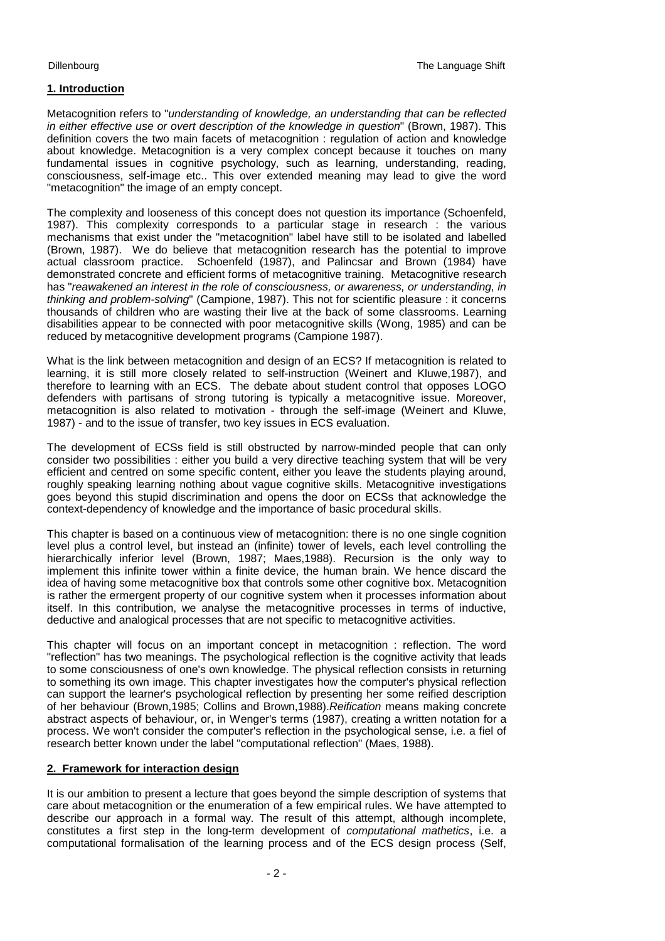# **1. Introduction**

Metacognition refers to "*understanding of knowledge, an understanding that can be reflected in either effective use or overt description of the knowledge in question*" (Brown, 1987). This definition covers the two main facets of metacognition : regulation of action and knowledge about knowledge. Metacognition is a very complex concept because it touches on many fundamental issues in cognitive psychology, such as learning, understanding, reading, consciousness, self-image etc.. This over extended meaning may lead to give the word "metacognition" the image of an empty concept.

The complexity and looseness of this concept does not question its importance (Schoenfeld, 1987). This complexity corresponds to a particular stage in research : the various mechanisms that exist under the "metacognition" label have still to be isolated and labelled (Brown, 1987). We do believe that metacognition research has the potential to improve actual classroom practice. Schoenfeld (1987), and Palincsar and Brown (1984) have demonstrated concrete and efficient forms of metacognitive training. Metacognitive research has "*reawakened an interest in the role of consciousness, or awareness, or understanding, in thinking and problem-solving*" (Campione, 1987). This not for scientific pleasure : it concerns thousands of children who are wasting their live at the back of some classrooms. Learning disabilities appear to be connected with poor metacognitive skills (Wong, 1985) and can be reduced by metacognitive development programs (Campione 1987).

What is the link between metacognition and design of an ECS? If metacognition is related to learning, it is still more closely related to self-instruction (Weinert and Kluwe,1987), and therefore to learning with an ECS. The debate about student control that opposes LOGO defenders with partisans of strong tutoring is typically a metacognitive issue. Moreover, metacognition is also related to motivation - through the self-image (Weinert and Kluwe, 1987) - and to the issue of transfer, two key issues in ECS evaluation.

The development of ECSs field is still obstructed by narrow-minded people that can only consider two possibilities : either you build a very directive teaching system that will be very efficient and centred on some specific content, either you leave the students playing around, roughly speaking learning nothing about vague cognitive skills. Metacognitive investigations goes beyond this stupid discrimination and opens the door on ECSs that acknowledge the context-dependency of knowledge and the importance of basic procedural skills.

This chapter is based on a continuous view of metacognition: there is no one single cognition level plus a control level, but instead an (infinite) tower of levels, each level controlling the hierarchically inferior level (Brown, 1987; Maes,1988). Recursion is the only way to implement this infinite tower within a finite device, the human brain. We hence discard the idea of having some metacognitive box that controls some other cognitive box. Metacognition is rather the ermergent property of our cognitive system when it processes information about itself. In this contribution, we analyse the metacognitive processes in terms of inductive, deductive and analogical processes that are not specific to metacognitive activities.

This chapter will focus on an important concept in metacognition : reflection. The word "reflection" has two meanings. The psychological reflection is the cognitive activity that leads to some consciousness of one's own knowledge. The physical reflection consists in returning to something its own image. This chapter investigates how the computer's physical reflection can support the learner's psychological reflection by presenting her some reified description of her behaviour (Brown,1985; Collins and Brown,1988).*Reification* means making concrete abstract aspects of behaviour, or, in Wenger's terms (1987), creating a written notation for a process. We won't consider the computer's reflection in the psychological sense, i.e. a fiel of research better known under the label "computational reflection" (Maes, 1988).

# **2. Framework for interaction design**

It is our ambition to present a lecture that goes beyond the simple description of systems that care about metacognition or the enumeration of a few empirical rules. We have attempted to describe our approach in a formal way. The result of this attempt, although incomplete, constitutes a first step in the long-term development of *computational mathetics*, i.e. a computational formalisation of the learning process and of the ECS design process (Self,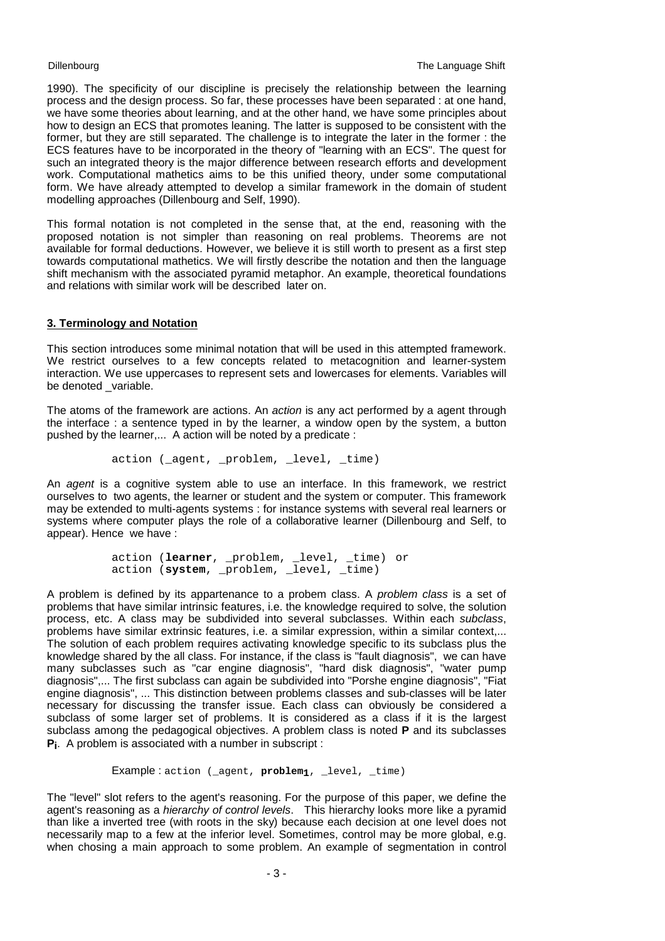1990). The specificity of our discipline is precisely the relationship between the learning process and the design process. So far, these processes have been separated : at one hand, we have some theories about learning, and at the other hand, we have some principles about how to design an ECS that promotes leaning. The latter is supposed to be consistent with the former, but they are still separated. The challenge is to integrate the later in the former : the ECS features have to be incorporated in the theory of "learning with an ECS". The quest for such an integrated theory is the major difference between research efforts and development work. Computational mathetics aims to be this unified theory, under some computational form. We have already attempted to develop a similar framework in the domain of student modelling approaches (Dillenbourg and Self, 1990).

This formal notation is not completed in the sense that, at the end, reasoning with the proposed notation is not simpler than reasoning on real problems. Theorems are not available for formal deductions. However, we believe it is still worth to present as a first step towards computational mathetics. We will firstly describe the notation and then the language shift mechanism with the associated pyramid metaphor. An example, theoretical foundations and relations with similar work will be described later on.

# **3. Terminology and Notation**

This section introduces some minimal notation that will be used in this attempted framework. We restrict ourselves to a few concepts related to metacognition and learner-system interaction. We use uppercases to represent sets and lowercases for elements. Variables will be denoted variable.

The atoms of the framework are actions. An *action* is any act performed by a agent through the interface : a sentence typed in by the learner, a window open by the system, a button pushed by the learner,... A action will be noted by a predicate :

action ( agent, problem, level, time)

An *agent* is a cognitive system able to use an interface. In this framework, we restrict ourselves to two agents, the learner or student and the system or computer. This framework may be extended to multi-agents systems : for instance systems with several real learners or systems where computer plays the role of a collaborative learner (Dillenbourg and Self, to appear). Hence we have :

> action (**learner**, \_problem, \_level, \_time) or action (**system**, \_problem, \_level, \_time)

A problem is defined by its appartenance to a probem class. A *problem class* is a set of problems that have similar intrinsic features, i.e. the knowledge required to solve, the solution process, etc. A class may be subdivided into several subclasses. Within each *subclass*, problems have similar extrinsic features, i.e. a similar expression, within a similar context.... The solution of each problem requires activating knowledge specific to its subclass plus the knowledge shared by the all class. For instance, if the class is "fault diagnosis", we can have many subclasses such as "car engine diagnosis", "hard disk diagnosis", "water pump diagnosis",... The first subclass can again be subdivided into "Porshe engine diagnosis", "Fiat engine diagnosis", ... This distinction between problems classes and sub-classes will be later necessary for discussing the transfer issue. Each class can obviously be considered a subclass of some larger set of problems. It is considered as a class if it is the largest subclass among the pedagogical objectives. A problem class is noted **P** and its subclasses **Pi**. A problem is associated with a number in subscript :

Example : action (\_agent, problem<sub>1</sub>, \_level, \_time)

The "level" slot refers to the agent's reasoning. For the purpose of this paper, we define the agent's reasoning as a *hierarchy of control levels*. This hierarchy looks more like a pyramid than like a inverted tree (with roots in the sky) because each decision at one level does not necessarily map to a few at the inferior level. Sometimes, control may be more global, e.g. when chosing a main approach to some problem. An example of segmentation in control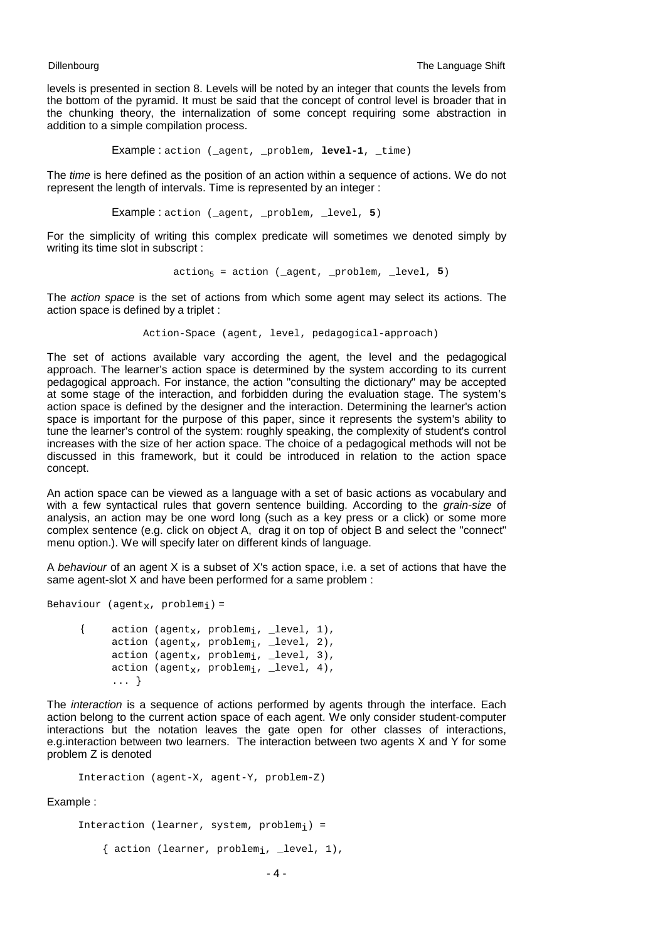levels is presented in section 8. Levels will be noted by an integer that counts the levels from the bottom of the pyramid. It must be said that the concept of control level is broader that in the chunking theory, the internalization of some concept requiring some abstraction in addition to a simple compilation process.

Example : action (\_agent, \_problem, **level-1**, \_time)

The *time* is here defined as the position of an action within a sequence of actions. We do not represent the length of intervals. Time is represented by an integer :

Example : action (\_agent, \_problem, \_level, **5**)

For the simplicity of writing this complex predicate will sometimes we denoted simply by writing its time slot in subscript :

 $\text{action}_5 = \text{action}$  (\_agent, \_problem, \_level, 5)

The *action space* is the set of actions from which some agent may select its actions. The action space is defined by a triplet :

Action-Space (agent, level, pedagogical-approach)

The set of actions available vary according the agent, the level and the pedagogical approach. The learner's action space is determined by the system according to its current pedagogical approach. For instance, the action "consulting the dictionary" may be accepted at some stage of the interaction, and forbidden during the evaluation stage. The system's action space is defined by the designer and the interaction. Determining the learner's action space is important for the purpose of this paper, since it represents the system's ability to tune the learner's control of the system: roughly speaking, the complexity of student's control increases with the size of her action space. The choice of a pedagogical methods will not be discussed in this framework, but it could be introduced in relation to the action space concept.

An action space can be viewed as a language with a set of basic actions as vocabulary and with a few syntactical rules that govern sentence building. According to the *grain-size* of analysis, an action may be one word long (such as a key press or a click) or some more complex sentence (e.g. click on object A, drag it on top of object B and select the "connect" menu option.). We will specify later on different kinds of language.

A *behaviour* of an agent X is a subset of X's action space, i.e. a set of actions that have the same agent-slot X and have been performed for a same problem :

Behaviour ( $agent_x$ , problem<sub>i</sub>) = {  $\arctan$  (agent<sub>x</sub>, problem<sub>i</sub>, \_level, 1), action (agent<sub>x</sub>, problem<sub>i</sub>, \_level, 2), action (agent<sub>x</sub>, problem<sub>i</sub>, \_level, 3), action ( $a$ qent<sub>x</sub>, problem<sub>i</sub>, level, 4),

... }

The *interaction* is a sequence of actions performed by agents through the interface. Each action belong to the current action space of each agent. We only consider student-computer interactions but the notation leaves the gate open for other classes of interactions, e.g.interaction between two learners. The interaction between two agents X and Y for some problem Z is denoted

```
Interaction (agent-X, agent-Y, problem-Z)
```
### Example :

```
Interaction (learner, system, problem_i) =
     { action (learner, problemi, _level, 1),
```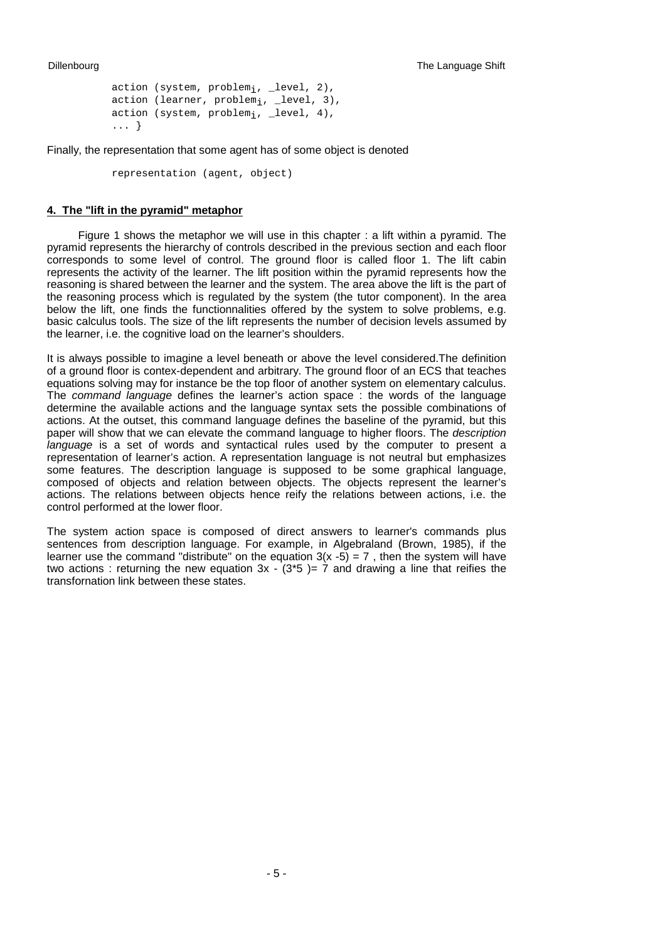```
action (system, problem_i, -level, 2),
action (learner, problem<sub>i</sub>, _level, 3),
action (system, problem;, level, 4),
... }
```
Finally, the representation that some agent has of some object is denoted

representation (agent, object)

### **4. The "lift in the pyramid" metaphor**

Figure 1 shows the metaphor we will use in this chapter : a lift within a pyramid. The pyramid represents the hierarchy of controls described in the previous section and each floor corresponds to some level of control. The ground floor is called floor 1. The lift cabin represents the activity of the learner. The lift position within the pyramid represents how the reasoning is shared between the learner and the system. The area above the lift is the part of the reasoning process which is regulated by the system (the tutor component). In the area below the lift, one finds the functionnalities offered by the system to solve problems, e.g. basic calculus tools. The size of the lift represents the number of decision levels assumed by the learner, i.e. the cognitive load on the learner's shoulders.

It is always possible to imagine a level beneath or above the level considered.The definition of a ground floor is contex-dependent and arbitrary. The ground floor of an ECS that teaches equations solving may for instance be the top floor of another system on elementary calculus. The *command language* defines the learner's action space : the words of the language determine the available actions and the language syntax sets the possible combinations of actions. At the outset, this command language defines the baseline of the pyramid, but this paper will show that we can elevate the command language to higher floors. The *description language* is a set of words and syntactical rules used by the computer to present a representation of learner's action. A representation language is not neutral but emphasizes some features. The description language is supposed to be some graphical language, composed of objects and relation between objects. The objects represent the learner's actions. The relations between objects hence reify the relations between actions, i.e. the control performed at the lower floor.

The system action space is composed of direct answers to learner's commands plus sentences from description language. For example, in Algebraland (Brown, 1985), if the learner use the command "distribute" on the equation  $3(x -5) = 7$ , then the system will have two actions : returning the new equation  $3x - (3 \cdot 5) = 7$  and drawing a line that reifies the transfornation link between these states.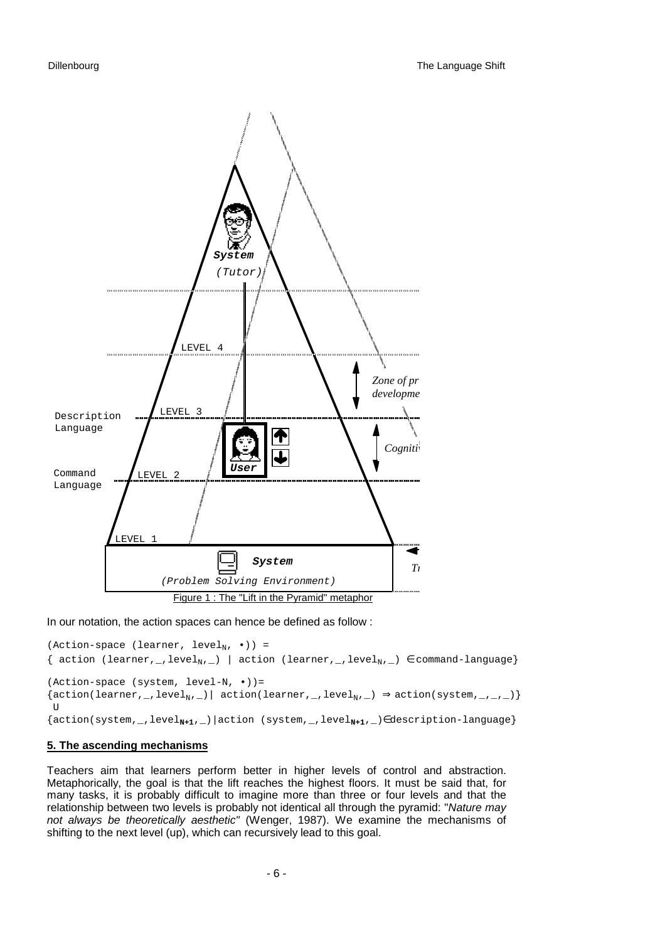

In our notation, the action spaces can hence be defined as follow :

```
(Action-space (learner, level<sub>N</sub>, \cdot)) =
{ action (learner, _, level<sub>N</sub>, _) | action (learner, _, level<sub>N</sub>, _) \in command-language}
(Action-space (system, level-N, \cdot) =
{action(learner,_,level<sub>N</sub>,_)| action(learner,_,level<sub>N</sub>,_) \Rightarrow action(system,_,_,_)}
U{action(system,_,levelN+1,_)|action (system,_,levelN+1,_)∈description-language}
```
### **5. The ascending mechanisms**

Teachers aim that learners perform better in higher levels of control and abstraction. Metaphorically, the goal is that the lift reaches the highest floors. It must be said that, for many tasks, it is probably difficult to imagine more than three or four levels and that the relationship between two levels is probably not identical all through the pyramid: "*Nature may not always be theoretically aesthetic"* (Wenger, 1987). We examine the mechanisms of shifting to the next level (up), which can recursively lead to this goal.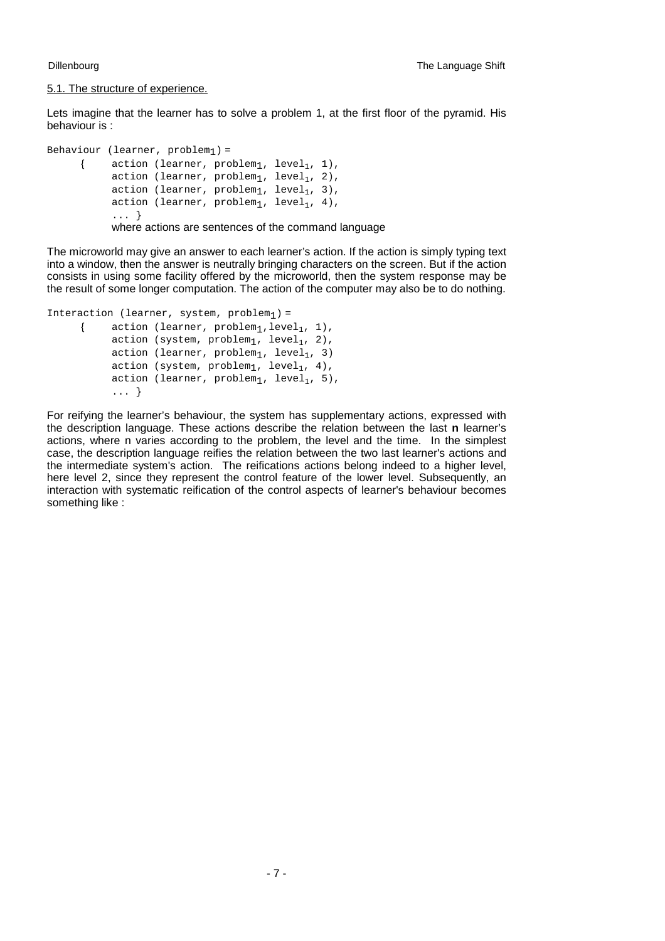### 5.1. The structure of experience.

Lets imagine that the learner has to solve a problem 1, at the first floor of the pyramid. His behaviour is :

```
Behaviour (learner, problem_1) =
       { \arctan (learner, problem<sub>1</sub>, level<sub>1</sub>, 1),
              action (learner, problem_1, level<sub>1</sub>, 2),
              action (learner, problem_1, level<sub>1</sub>, 3),
              action (learner, problem<sub>1</sub>, level<sub>1</sub>, 4),
              ... }
              where actions are sentences of the command language
```
The microworld may give an answer to each learner's action. If the action is simply typing text into a window, then the answer is neutrally bringing characters on the screen. But if the action consists in using some facility offered by the microworld, then the system response may be the result of some longer computation. The action of the computer may also be to do nothing.

```
Interaction (learner, system, problem_1) =
       { action (learner, problem_1, level_1, 1),
             action (system, problem_1, level<sub>1</sub>, 2),
             action (learner, problem<sub>1</sub>, level<sub>1</sub>, 3)
             action (system, problem_1, level<sub>1</sub>, 4),
             action (learner, problem_1, level<sub>1</sub>, 5),
             ... }
```
For reifying the learner's behaviour, the system has supplementary actions, expressed with the description language. These actions describe the relation between the last **n** learner's actions, where n varies according to the problem, the level and the time. In the simplest case, the description language reifies the relation between the two last learner's actions and the intermediate system's action. The reifications actions belong indeed to a higher level, here level 2, since they represent the control feature of the lower level. Subsequently, an interaction with systematic reification of the control aspects of learner's behaviour becomes something like :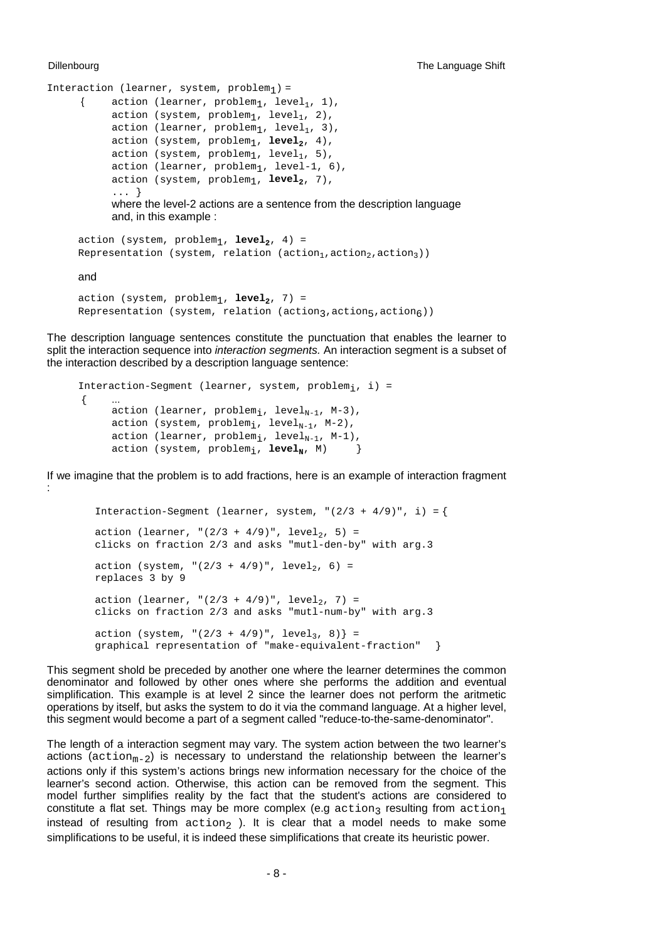```
Interaction (learner, system, problem_1) =
       { action (learner, problem_1, level<sub>1</sub>, 1),
             action (system, problem_1, level<sub>1</sub>, 2),
             action (learner, problem_1, level<sub>1</sub>, 3),
             action (system, problem<sub>1</sub>, level<sub>2</sub>, 4),
             action (system, problem_1, level<sub>1</sub>, 5),
             action (learner, problem_1, level-1, 6),
             action (system, problem<sub>1</sub>, level<sub>2</sub>, 7),
              ... }
             where the level-2 actions are a sentence from the description language
             and, in this example :
```

```
action (system, problem_1, level_2, 4) =
Representation (system, relation (action<sub>1</sub>, action<sub>2</sub>, action<sub>3</sub>))
```
and

```
action (system, problem_1, level_2, 7) =
Representation (system, relation (action3, action5, action6))
```
The description language sentences constitute the punctuation that enables the learner to split the interaction sequence into *interaction segments.* An interaction segment is a subset of the interaction described by a description language sentence:

```
Interaction-Segment (learner, system, problem; , i) =
\{action (learner, problem<sub>i</sub>, level<sub>N-1</sub>, M-3),
       action (system, problem<sub>i</sub>, level<sub>N-1</sub>, M-2),
       action (learner, problem<sub>i</sub>, level<sub>N-1</sub>, M-1),
       action (system, problem<sub>i</sub>, level<sub>M</sub>, M) }
```
If we imagine that the problem is to add fractions, here is an example of interaction fragment :

```
Interaction-Seqment (learner, system, "(2/3 + 4/9)", i) = {
action (learner, "(2/3 + 4/9)", level, 5) =
clicks on fraction 2/3 and asks "mutl-den-by" with arg.3
action (system, "(2/3 + 4/9)", level<sub>2</sub>, 6) =
replaces 3 by 9
action (learner, "(2/3 + 4/9)", level<sub>2</sub>, 7) =
clicks on fraction 2/3 and asks "mutl-num-by" with arg.3
action (system, "(2/3 + 4/9)", level<sub>3</sub>, 8) } =
graphical representation of "make-equivalent-fraction" }
```
This segment shold be preceded by another one where the learner determines the common denominator and followed by other ones where she performs the addition and eventual simplification. This example is at level 2 since the learner does not perform the aritmetic operations by itself, but asks the system to do it via the command language. At a higher level, this segment would become a part of a segment called "reduce-to-the-same-denominator".

The length of a interaction segment may vary. The system action between the two learner's actions  $(activation_{m-2})$  is necessary to understand the relationship between the learner's actions only if this system's actions brings new information necessary for the choice of the learner's second action. Otherwise, this action can be removed from the segment. This model further simplifies reality by the fact that the student's actions are considered to constitute a flat set. Things may be more complex (e.g action<sub>3</sub> resulting from action<sub>1</sub> instead of resulting from  $\arctan_2$  ). It is clear that a model needs to make some simplifications to be useful, it is indeed these simplifications that create its heuristic power.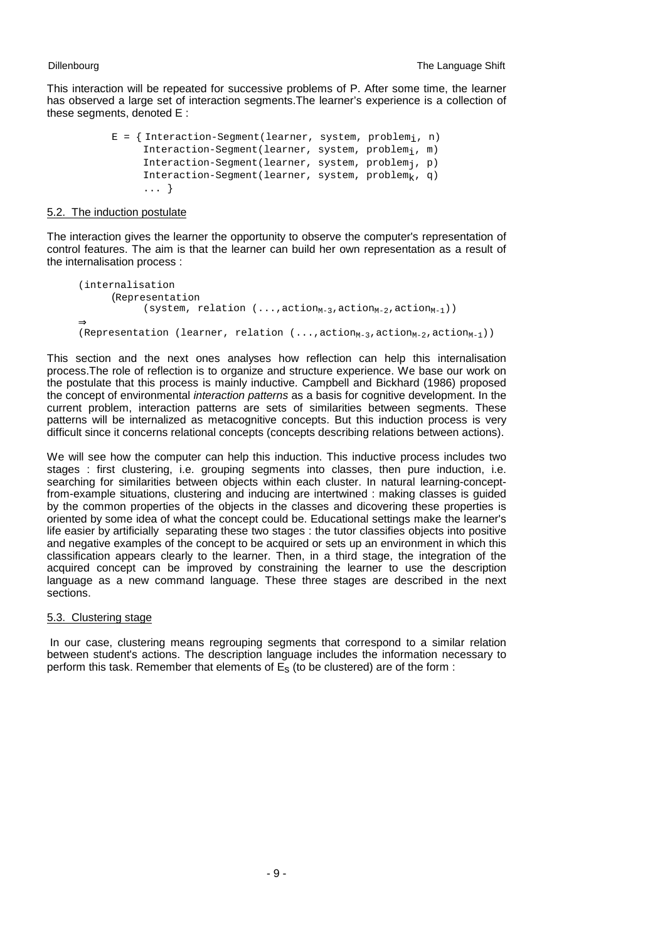This interaction will be repeated for successive problems of P. After some time, the learner has observed a large set of interaction segments.The learner's experience is a collection of these segments, denoted E :

```
E = \{ Interaction-Segment(learner, system, problem<sub>i</sub>, n)
     Interaction-Segment(learner, system, problemi, m)
     Interaction-Segment(learner, system, problemj, p)
     Interaction-Segment(learner, system, problem<sub>k</sub>, q)
      ... }
```
## 5.2. The induction postulate

The interaction gives the learner the opportunity to observe the computer's representation of control features. The aim is that the learner can build her own representation as a result of the internalisation process :

```
(internalisation
      (Representation
              (system, relation (...,action_{M-3},action_{M-2},action_{M-1}))⇒ 
(Representation (learner, relation (..., \text{action}_{M-3}, \text{action}_{M-2}, \text{action}_{M-1})))
```
This section and the next ones analyses how reflection can help this internalisation process.The role of reflection is to organize and structure experience. We base our work on the postulate that this process is mainly inductive. Campbell and Bickhard (1986) proposed the concept of environmental *interaction patterns* as a basis for cognitive development. In the current problem, interaction patterns are sets of similarities between segments. These patterns will be internalized as metacognitive concepts. But this induction process is very difficult since it concerns relational concepts (concepts describing relations between actions).

We will see how the computer can help this induction. This inductive process includes two stages : first clustering, i.e. grouping segments into classes, then pure induction, i.e. searching for similarities between objects within each cluster. In natural learning-conceptfrom-example situations, clustering and inducing are intertwined : making classes is guided by the common properties of the objects in the classes and dicovering these properties is oriented by some idea of what the concept could be. Educational settings make the learner's life easier by artificially separating these two stages : the tutor classifies objects into positive and negative examples of the concept to be acquired or sets up an environment in which this classification appears clearly to the learner. Then, in a third stage, the integration of the acquired concept can be improved by constraining the learner to use the description language as a new command language. These three stages are described in the next sections.

## 5.3. Clustering stage

 In our case, clustering means regrouping segments that correspond to a similar relation between student's actions. The description language includes the information necessary to perform this task. Remember that elements of  $E<sub>s</sub>$  (to be clustered) are of the form :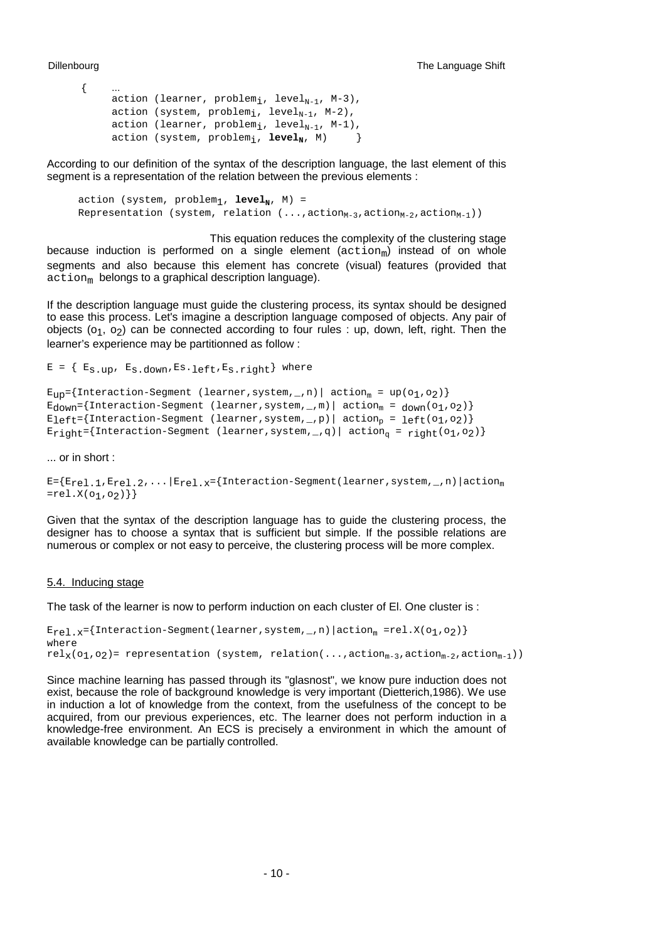$\{$ 

```
action (learner, problem<sub>i</sub>, level<sub>N-1</sub>, M-3),
action (system, problem<sub>i</sub>, level<sub>N-1</sub>, M-2),
action (learner, problem<sub>i</sub>, level<sub>N-1</sub>, M-1),
action (system, problem<sub>i</sub>, level<sub>N</sub>, M) }
```
According to our definition of the syntax of the description language, the last element of this segment is a representation of the relation between the previous elements :

action (system,  $problem_1$ ,  $level_N$ ,  $M$ ) = Representation (system, relation  $(..., \text{action}_{M-3}, \text{action}_{M-2}, \text{action}_{M-1}))$ )

 This equation reduces the complexity of the clustering stage because induction is performed on a single element  $(action<sub>m</sub>)$  instead of on whole segments and also because this element has concrete (visual) features (provided that  $\alpha$ ction<sub>m</sub> belongs to a graphical description language).

If the description language must guide the clustering process, its syntax should be designed to ease this process. Let's imagine a description language composed of objects. Any pair of objects  $(o_1, o_2)$  can be connected according to four rules : up, down, left, right. Then the learner's experience may be partitionned as follow :

```
E = \{ E_S, up, E_S, down, ES. left, E_S, right \} where
```

```
E_{UD} = \{Interaction-Segment (learner, system, _, n) | action<sub>m</sub> = up(o1, o2) }
E_{\text{down}} = {Interaction-Segment (learner, system, _, m) | action<sub>m</sub> = _{\text{down}}(o_1, o_2) }
E_{left}={Interaction-Segment (learner,system,_,p)| action<sub>p</sub> = _{left} (01,02)}
\texttt{E}_{\texttt{right}}=\left\{\texttt{Interaction-Segment}\;\;\left(\texttt{learner}, \texttt{system}, \_\texttt{q}\right) \left|\;\; \texttt{action}_{\texttt{q}}=\;\texttt{right}(\texttt{o}_1, \texttt{o}_2)\right\}.
```
... or in short :

```
E={E<sub>rel.1</sub>,E<sub>rel.2</sub>,...|E<sub>rel.x</sub>={Interaction-Segment(learner,system,_,n)|action<sub>m</sub>
=rel.X(o_1,o_2)}
```
Given that the syntax of the description language has to guide the clustering process, the designer has to choose a syntax that is sufficient but simple. If the possible relations are numerous or complex or not easy to perceive, the clustering process will be more complex.

### 5.4. Inducing stage

The task of the learner is now to perform induction on each cluster of El. One cluster is :

```
E_{rel.x}={Interaction-Segment(learner,system,_,n)|action<sub>m</sub> =rel.X(o<sub>1</sub>,o<sub>2</sub>)}
where
rel_{X}(o_1,o_2)= representation (system, relation(...,action<sub>m-3</sub>,action<sub>m-2</sub>,action<sub>m-1</sub>))
```
Since machine learning has passed through its "glasnost", we know pure induction does not exist, because the role of background knowledge is very important (Dietterich,1986). We use in induction a lot of knowledge from the context, from the usefulness of the concept to be acquired, from our previous experiences, etc. The learner does not perform induction in a knowledge-free environment. An ECS is precisely a environment in which the amount of available knowledge can be partially controlled.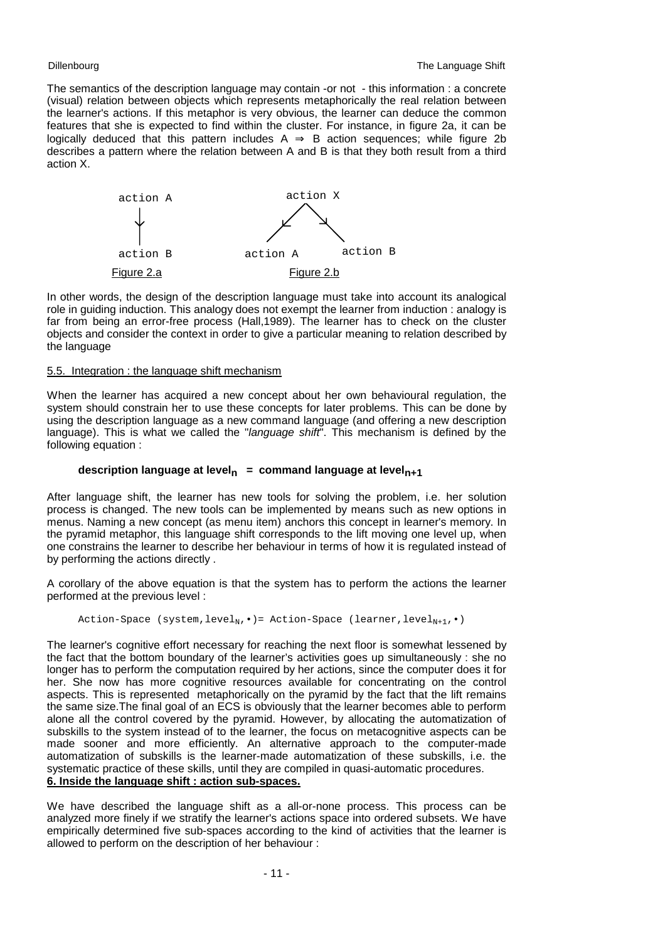The semantics of the description language may contain -or not - this information : a concrete (visual) relation between objects which represents metaphorically the real relation between the learner's actions. If this metaphor is very obvious, the learner can deduce the common features that she is expected to find within the cluster. For instance, in figure 2a, it can be logically deduced that this pattern includes  $A \Rightarrow B$  action sequences; while figure 2b describes a pattern where the relation between A and B is that they both result from a third action X.



In other words, the design of the description language must take into account its analogical role in guiding induction. This analogy does not exempt the learner from induction : analogy is far from being an error-free process (Hall,1989). The learner has to check on the cluster objects and consider the context in order to give a particular meaning to relation described by the language

# 5.5. Integration : the language shift mechanism

When the learner has acquired a new concept about her own behavioural regulation, the system should constrain her to use these concepts for later problems. This can be done by using the description language as a new command language (and offering a new description language). This is what we called the "*language shift*". This mechanism is defined by the following equation :

# description language at level<sub>n</sub> = command language at level<sub>n+1</sub>

After language shift, the learner has new tools for solving the problem, i.e. her solution process is changed. The new tools can be implemented by means such as new options in menus. Naming a new concept (as menu item) anchors this concept in learner's memory. In the pyramid metaphor, this language shift corresponds to the lift moving one level up, when one constrains the learner to describe her behaviour in terms of how it is regulated instead of by performing the actions directly .

A corollary of the above equation is that the system has to perform the actions the learner performed at the previous level :

Action-Space (system, level<sub>N</sub>, ·)= Action-Space (learner, level<sub>N+1</sub>, ·)

The learner's cognitive effort necessary for reaching the next floor is somewhat lessened by the fact that the bottom boundary of the learner's activities goes up simultaneously : she no longer has to perform the computation required by her actions, since the computer does it for her. She now has more cognitive resources available for concentrating on the control aspects. This is represented metaphorically on the pyramid by the fact that the lift remains the same size.The final goal of an ECS is obviously that the learner becomes able to perform alone all the control covered by the pyramid. However, by allocating the automatization of subskills to the system instead of to the learner, the focus on metacognitive aspects can be made sooner and more efficiently. An alternative approach to the computer-made automatization of subskills is the learner-made automatization of these subskills, i.e. the systematic practice of these skills, until they are compiled in quasi-automatic procedures.

# **6. Inside the language shift : action sub-spaces.**

We have described the language shift as a all-or-none process. This process can be analyzed more finely if we stratify the learner's actions space into ordered subsets. We have empirically determined five sub-spaces according to the kind of activities that the learner is allowed to perform on the description of her behaviour :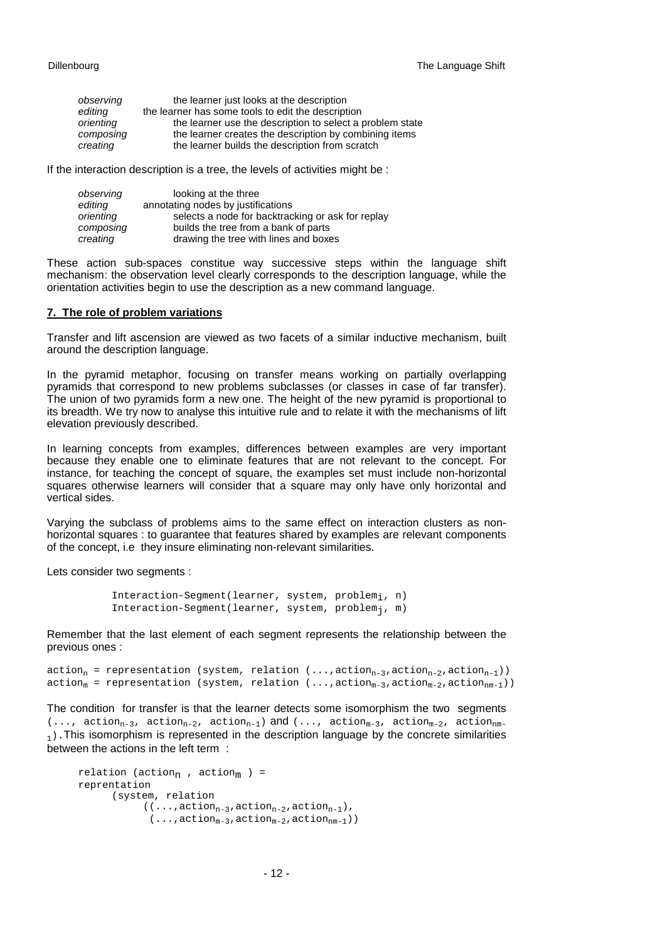| observing | the learner just looks at the description                 |
|-----------|-----------------------------------------------------------|
| editing   | the learner has some tools to edit the description        |
| orienting | the learner use the description to select a problem state |
| composing | the learner creates the description by combining items    |
| creating  | the learner builds the description from scratch           |

If the interaction description is a tree, the levels of activities might be :

| observing | looking at the three                              |
|-----------|---------------------------------------------------|
| editing   | annotating nodes by justifications                |
| orienting | selects a node for backtracking or ask for replay |
| composing | builds the tree from a bank of parts              |
| creating  | drawing the tree with lines and boxes             |

These action sub-spaces constitue way successive steps within the language shift mechanism: the observation level clearly corresponds to the description language, while the orientation activities begin to use the description as a new command language.

### **7. The role of problem variations**

Transfer and lift ascension are viewed as two facets of a similar inductive mechanism, built around the description language.

In the pyramid metaphor, focusing on transfer means working on partially overlapping pyramids that correspond to new problems subclasses (or classes in case of far transfer). The union of two pyramids form a new one. The height of the new pyramid is proportional to its breadth. We try now to analyse this intuitive rule and to relate it with the mechanisms of lift elevation previously described.

In learning concepts from examples, differences between examples are very important because they enable one to eliminate features that are not relevant to the concept. For instance, for teaching the concept of square, the examples set must include non-horizontal squares otherwise learners will consider that a square may only have only horizontal and vertical sides.

Varying the subclass of problems aims to the same effect on interaction clusters as nonhorizontal squares : to guarantee that features shared by examples are relevant components of the concept, i.e they insure eliminating non-relevant similarities.

Lets consider two segments :

```
Interaction-Segment(learner, system, problemi, n)
Interaction-Segment(learner, system, problemj, m)
```
Remember that the last element of each segment represents the relationship between the previous ones :

 $action_n = representation (system, relation (..., action_{n-3}, action_{n-2}, action_{n-1}))$ action<sub>m</sub> = representation (system, relation  $(\ldots, \arctan_{m-3}, \arctan_{m-2}, \arctan_{nm-1}))$ )

The condition for transfer is that the learner detects some isomorphism the two segments  $(\ldots, \arctan_{n-3}, \arctan_{n-2}, \arctan_{n-1})$  and  $(\ldots, \arctan_{m-3}, \arctan_{m-2}, \arctan_{nm-2})$  $<sub>1</sub>$ ). This isomorphism is represented in the description language by the concrete similarities</sub> between the actions in the left term :

```
relation (action<sub>n</sub> , action<sub>m</sub> ) =
reprentation
          (system, relation
                   ((\ldots, \text{action}_{n-3}, \text{action}_{n-2}, \text{action}_{n-1}),( \ldots, \text{action}_{m-3}, \text{action}_{m-2}, \text{action}_{nm-1}))
```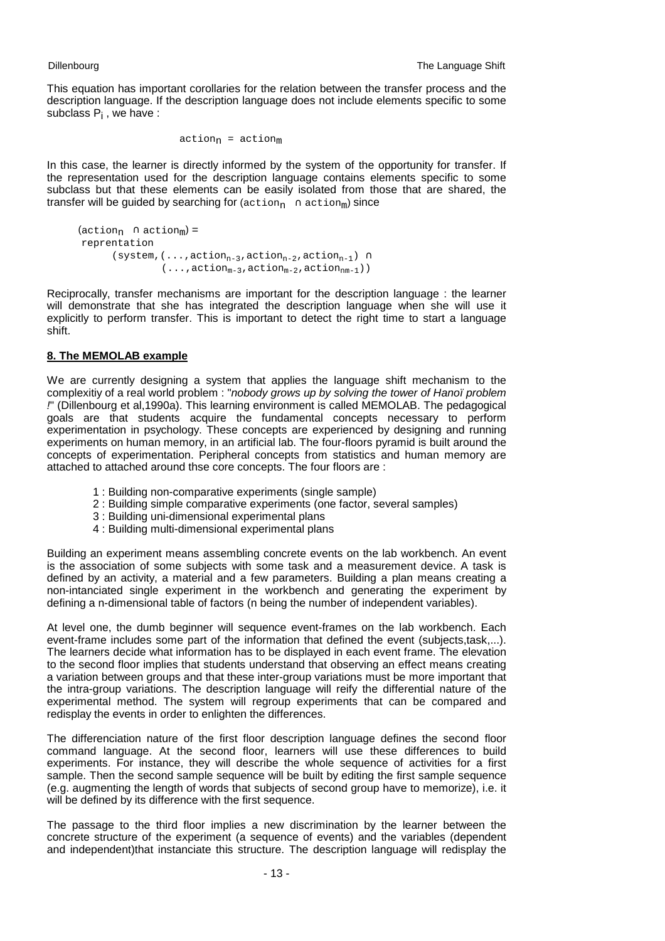This equation has important corollaries for the relation between the transfer process and the description language. If the description language does not include elements specific to some subclass P<sub>i</sub>, we have:

$$
\verb"action"_n = \verb"action"_m
$$

In this case, the learner is directly informed by the system of the opportunity for transfer. If the representation used for the description language contains elements specific to some subclass but that these elements can be easily isolated from those that are shared, the transfer will be quided by searching for  $($ action<sub>n</sub> ∩ action<sub>m</sub>) since

```
(\text{action}_{n} \cap \text{action}_{m}) =reprentation
          (system,(...,action<sub>n-3</sub>,action<sub>n-2</sub>,action<sub>n-1</sub>) ∩
                         ( \ldots, \text{action}_{m-3}, \text{action}_{m-2}, \text{action}_{nm-1}))
```
Reciprocally, transfer mechanisms are important for the description language : the learner will demonstrate that she has integrated the description language when she will use it explicitly to perform transfer. This is important to detect the right time to start a language shift.

# **8. The MEMOLAB example**

We are currently designing a system that applies the language shift mechanism to the complexitiy of a real world problem : "*nobody grows up by solving the tower of Hanoï problem !*" (Dillenbourg et al,1990a). This learning environment is called MEMOLAB. The pedagogical goals are that students acquire the fundamental concepts necessary to perform experimentation in psychology. These concepts are experienced by designing and running experiments on human memory, in an artificial lab. The four-floors pyramid is built around the concepts of experimentation. Peripheral concepts from statistics and human memory are attached to attached around thse core concepts. The four floors are :

- 1 : Building non-comparative experiments (single sample)
- 2 : Building simple comparative experiments (one factor, several samples)
- 3 : Building uni-dimensional experimental plans
- 4 : Building multi-dimensional experimental plans

Building an experiment means assembling concrete events on the lab workbench. An event is the association of some subjects with some task and a measurement device. A task is defined by an activity, a material and a few parameters. Building a plan means creating a non-intanciated single experiment in the workbench and generating the experiment by defining a n-dimensional table of factors (n being the number of independent variables).

At level one, the dumb beginner will sequence event-frames on the lab workbench. Each event-frame includes some part of the information that defined the event (subjects,task,...). The learners decide what information has to be displayed in each event frame. The elevation to the second floor implies that students understand that observing an effect means creating a variation between groups and that these inter-group variations must be more important that the intra-group variations. The description language will reify the differential nature of the experimental method. The system will regroup experiments that can be compared and redisplay the events in order to enlighten the differences.

The differenciation nature of the first floor description language defines the second floor command language. At the second floor, learners will use these differences to build experiments. For instance, they will describe the whole sequence of activities for a first sample. Then the second sample sequence will be built by editing the first sample sequence (e.g. augmenting the length of words that subjects of second group have to memorize), i.e. it will be defined by its difference with the first sequence.

The passage to the third floor implies a new discrimination by the learner between the concrete structure of the experiment (a sequence of events) and the variables (dependent and independent)that instanciate this structure. The description language will redisplay the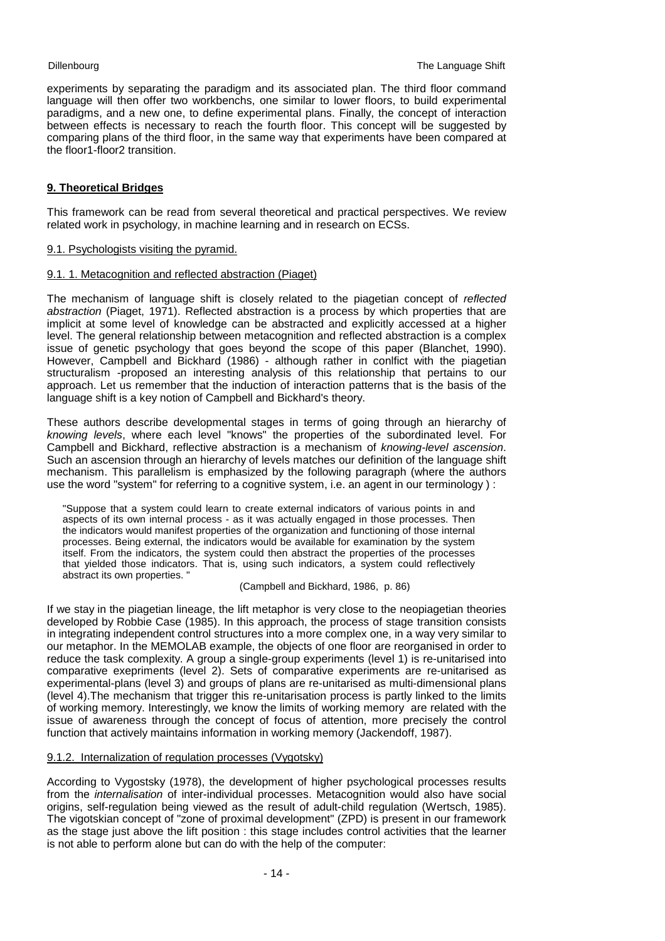experiments by separating the paradigm and its associated plan. The third floor command language will then offer two workbenchs, one similar to lower floors, to build experimental paradigms, and a new one, to define experimental plans. Finally, the concept of interaction between effects is necessary to reach the fourth floor. This concept will be suggested by comparing plans of the third floor, in the same way that experiments have been compared at the floor1-floor2 transition.

# **9. Theoretical Bridges**

This framework can be read from several theoretical and practical perspectives. We review related work in psychology, in machine learning and in research on ECSs.

## 9.1. Psychologists visiting the pyramid.

### 9.1. 1. Metacognition and reflected abstraction (Piaget)

The mechanism of language shift is closely related to the piagetian concept of *reflected abstraction* (Piaget, 1971). Reflected abstraction is a process by which properties that are implicit at some level of knowledge can be abstracted and explicitly accessed at a higher level. The general relationship between metacognition and reflected abstraction is a complex issue of genetic psychology that goes beyond the scope of this paper (Blanchet, 1990). However, Campbell and Bickhard (1986) - although rather in conlfict with the piagetian structuralism -proposed an interesting analysis of this relationship that pertains to our approach. Let us remember that the induction of interaction patterns that is the basis of the language shift is a key notion of Campbell and Bickhard's theory.

These authors describe developmental stages in terms of going through an hierarchy of *knowing levels*, where each level "knows" the properties of the subordinated level. For Campbell and Bickhard, reflective abstraction is a mechanism of *knowing-level ascension*. Such an ascension through an hierarchy of levels matches our definition of the language shift mechanism. This parallelism is emphasized by the following paragraph (where the authors use the word "system" for referring to a cognitive system, i.e. an agent in our terminology ) :

"Suppose that a system could learn to create external indicators of various points in and aspects of its own internal process - as it was actually engaged in those processes. Then the indicators would manifest properties of the organization and functioning of those internal processes. Being external, the indicators would be available for examination by the system itself. From the indicators, the system could then abstract the properties of the processes that yielded those indicators. That is, using such indicators, a system could reflectively abstract its own properties. "

### (Campbell and Bickhard, 1986, p. 86)

If we stay in the piagetian lineage, the lift metaphor is very close to the neopiagetian theories developed by Robbie Case (1985). In this approach, the process of stage transition consists in integrating independent control structures into a more complex one, in a way very similar to our metaphor. In the MEMOLAB example, the objects of one floor are reorganised in order to reduce the task complexity. A group a single-group experiments (level 1) is re-unitarised into comparative exepriments (level 2). Sets of comparative experiments are re-unitarised as experimental-plans (level 3) and groups of plans are re-unitarised as multi-dimensional plans (level 4).The mechanism that trigger this re-unitarisation process is partly linked to the limits of working memory. Interestingly, we know the limits of working memory are related with the issue of awareness through the concept of focus of attention, more precisely the control function that actively maintains information in working memory (Jackendoff, 1987).

### 9.1.2. Internalization of regulation processes (Vygotsky)

According to Vygostsky (1978), the development of higher psychological processes results from the *internalisation* of inter-individual processes. Metacognition would also have social origins, self-regulation being viewed as the result of adult-child regulation (Wertsch, 1985). The vigotskian concept of "zone of proximal development" (ZPD) is present in our framework as the stage just above the lift position : this stage includes control activities that the learner is not able to perform alone but can do with the help of the computer: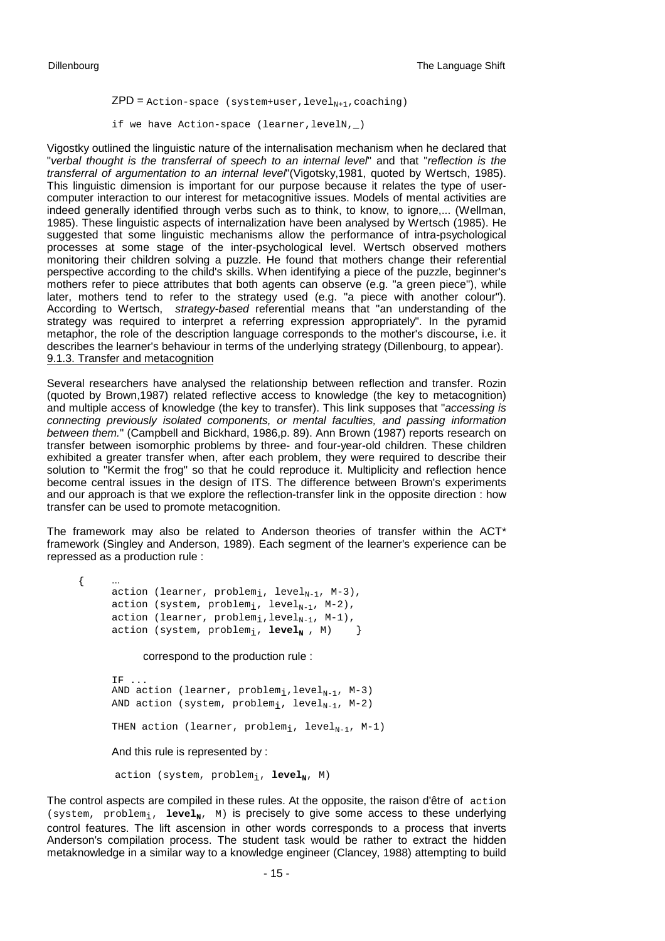$\{$ .

 $ZPD =$  Action-space (system+user, level<sub>N+1</sub>, coaching) if we have Action-space (learner,levelN,\_)

Vigostky outlined the linguistic nature of the internalisation mechanism when he declared that "*verbal thought is the transferral of speech to an internal level*" and that "*reflection is the transferral of argumentation to an internal level*"(Vigotsky,1981, quoted by Wertsch, 1985). This linguistic dimension is important for our purpose because it relates the type of usercomputer interaction to our interest for metacognitive issues. Models of mental activities are indeed generally identified through verbs such as to think, to know, to ignore,... (Wellman, 1985). These linguistic aspects of internalization have been analysed by Wertsch (1985). He suggested that some linguistic mechanisms allow the performance of intra-psychological processes at some stage of the inter-psychological level. Wertsch observed mothers monitoring their children solving a puzzle. He found that mothers change their referential perspective according to the child's skills. When identifying a piece of the puzzle, beginner's mothers refer to piece attributes that both agents can observe (e.g. "a green piece"), while later, mothers tend to refer to the strategy used (e.g. "a piece with another colour"). According to Wertsch, *strategy-based* referential means that "an understanding of the strategy was required to interpret a referring expression appropriately". In the pyramid metaphor, the role of the description language corresponds to the mother's discourse, i.e. it describes the learner's behaviour in terms of the underlying strategy (Dillenbourg, to appear). 9.1.3. Transfer and metacognition

Several researchers have analysed the relationship between reflection and transfer. Rozin (quoted by Brown,1987) related reflective access to knowledge (the key to metacognition) and multiple access of knowledge (the key to transfer). This link supposes that "*accessing is connecting previously isolated components, or mental faculties, and passing information between them.*" (Campbell and Bickhard, 1986,p. 89). Ann Brown (1987) reports research on transfer between isomorphic problems by three- and four-year-old children. These children exhibited a greater transfer when, after each problem, they were required to describe their solution to "Kermit the frog" so that he could reproduce it. Multiplicity and reflection hence become central issues in the design of ITS. The difference between Brown's experiments and our approach is that we explore the reflection-transfer link in the opposite direction : how transfer can be used to promote metacognition.

The framework may also be related to Anderson theories of transfer within the  $ACT*$ framework (Singley and Anderson, 1989). Each segment of the learner's experience can be repressed as a production rule :

action (learner, problem<sub>i</sub>, level<sub>N-1</sub>, M-3), action (system, problem<sub>i</sub>, level<sub>N-1</sub>, M-2), action (learner,  $problem_i, level_{N-1}, M-1)$ , action (system,  $problem_i$ ,  $level_N$ ,  $M$ ) }

## correspond to the production rule :

IF ... AND action (learner, problem<sub>i</sub>, level<sub>N-1</sub>, M-3) AND action (system, problem<sub>i</sub>, level<sub>N-1</sub>, M-2) THEN action (learner, problem<sub>i</sub>, level<sub>N-1</sub>, M-1) And this rule is represented by :

# action (system, problem<sub>i</sub>, level<sub>N</sub>, M)

The control aspects are compiled in these rules. At the opposite, the raison d'être of action (system,  $problem_i$ ,  $level_N$ , M) is precisely to give some access to these underlying control features. The lift ascension in other words corresponds to a process that inverts Anderson's compilation process. The student task would be rather to extract the hidden metaknowledge in a similar way to a knowledge engineer (Clancey, 1988) attempting to build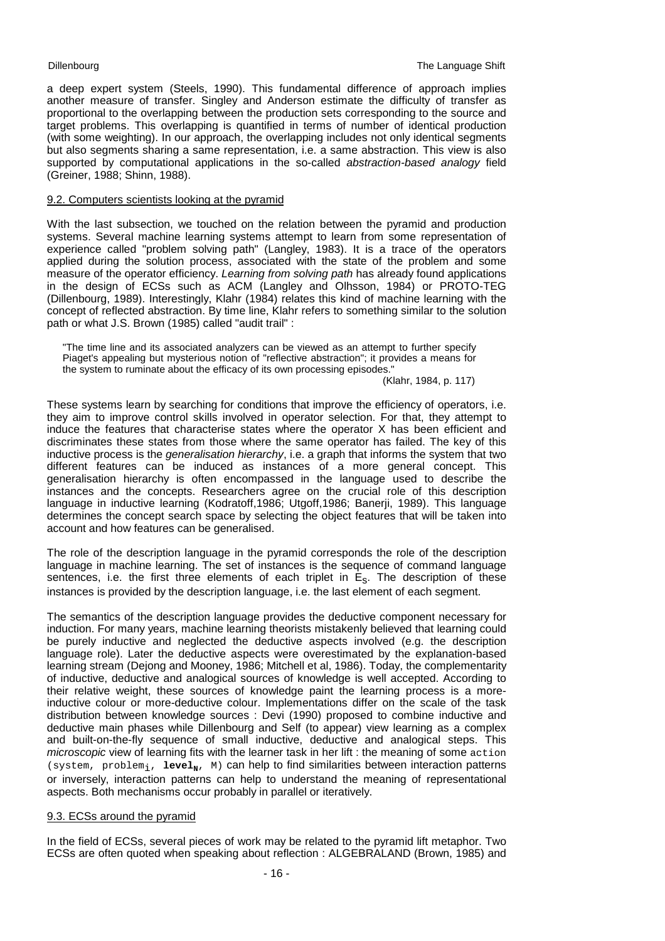a deep expert system (Steels, 1990). This fundamental difference of approach implies another measure of transfer. Singley and Anderson estimate the difficulty of transfer as proportional to the overlapping between the production sets corresponding to the source and target problems. This overlapping is quantified in terms of number of identical production (with some weighting). In our approach, the overlapping includes not only identical segments but also segments sharing a same representation, i.e. a same abstraction. This view is also supported by computational applications in the so-called *abstraction-based analogy* field (Greiner, 1988; Shinn, 1988).

### 9.2. Computers scientists looking at the pyramid

With the last subsection, we touched on the relation between the pyramid and production systems. Several machine learning systems attempt to learn from some representation of experience called "problem solving path" (Langley, 1983). It is a trace of the operators applied during the solution process, associated with the state of the problem and some measure of the operator efficiency. *Learning from solving path* has already found applications in the design of ECSs such as ACM (Langley and Olhsson, 1984) or PROTO-TEG (Dillenbourg, 1989). Interestingly, Klahr (1984) relates this kind of machine learning with the concept of reflected abstraction. By time line, Klahr refers to something similar to the solution path or what J.S. Brown (1985) called "audit trail" :

"The time line and its associated analyzers can be viewed as an attempt to further specify Piaget's appealing but mysterious notion of "reflective abstraction"; it provides a means for the system to ruminate about the efficacy of its own processing episodes."

(Klahr, 1984, p. 117)

These systems learn by searching for conditions that improve the efficiency of operators, i.e. they aim to improve control skills involved in operator selection. For that, they attempt to induce the features that characterise states where the operator X has been efficient and discriminates these states from those where the same operator has failed. The key of this inductive process is the *generalisation hierarchy*, i.e. a graph that informs the system that two different features can be induced as instances of a more general concept. This generalisation hierarchy is often encompassed in the language used to describe the instances and the concepts. Researchers agree on the crucial role of this description language in inductive learning (Kodratoff,1986; Utgoff,1986; Banerji, 1989). This language determines the concept search space by selecting the object features that will be taken into account and how features can be generalised.

The role of the description language in the pyramid corresponds the role of the description language in machine learning. The set of instances is the sequence of command language sentences, i.e. the first three elements of each triplet in  $E_s$ . The description of these instances is provided by the description language, i.e. the last element of each segment.

The semantics of the description language provides the deductive component necessary for induction. For many years, machine learning theorists mistakenly believed that learning could be purely inductive and neglected the deductive aspects involved (e.g. the description language role). Later the deductive aspects were overestimated by the explanation-based learning stream (Dejong and Mooney, 1986; Mitchell et al, 1986). Today, the complementarity of inductive, deductive and analogical sources of knowledge is well accepted. According to their relative weight, these sources of knowledge paint the learning process is a moreinductive colour or more-deductive colour. Implementations differ on the scale of the task distribution between knowledge sources : Devi (1990) proposed to combine inductive and deductive main phases while Dillenbourg and Self (to appear) view learning as a complex and built-on-the-fly sequence of small inductive, deductive and analogical steps. This *microscopic* view of learning fits with the learner task in her lift : the meaning of some action (system, problem<sub>i</sub>, level<sub>N</sub>, M) can help to find similarities between interaction patterns or inversely, interaction patterns can help to understand the meaning of representational aspects. Both mechanisms occur probably in parallel or iteratively.

## 9.3. ECSs around the pyramid

In the field of ECSs, several pieces of work may be related to the pyramid lift metaphor. Two ECSs are often quoted when speaking about reflection : ALGEBRALAND (Brown, 1985) and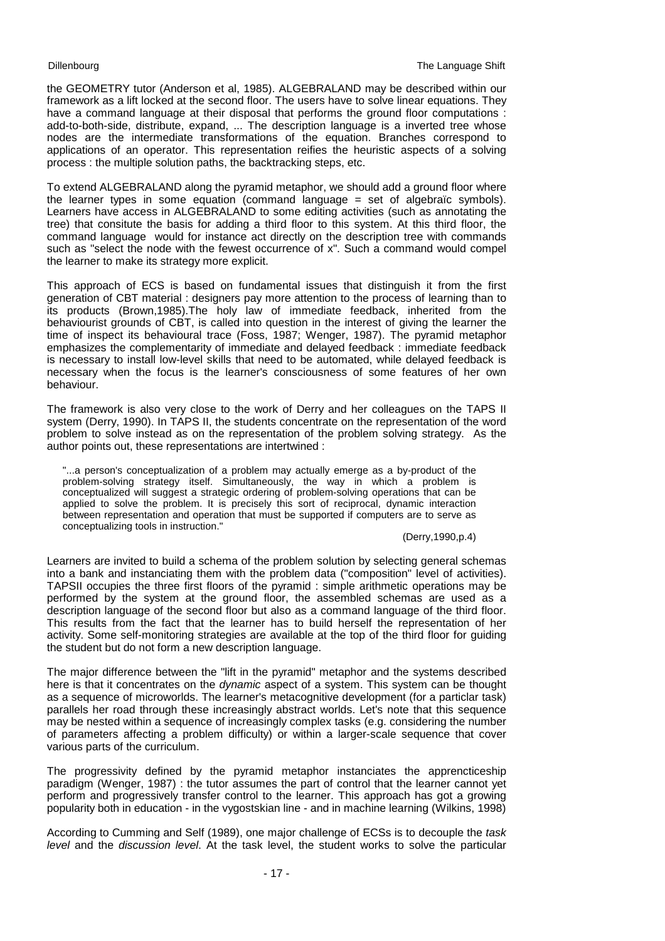the GEOMETRY tutor (Anderson et al, 1985). ALGEBRALAND may be described within our framework as a lift locked at the second floor. The users have to solve linear equations. They have a command language at their disposal that performs the ground floor computations : add-to-both-side, distribute, expand, ... The description language is a inverted tree whose nodes are the intermediate transformations of the equation. Branches correspond to applications of an operator. This representation reifies the heuristic aspects of a solving process : the multiple solution paths, the backtracking steps, etc.

To extend ALGEBRALAND along the pyramid metaphor, we should add a ground floor where the learner types in some equation (command language = set of algebraïc symbols). Learners have access in ALGEBRALAND to some editing activities (such as annotating the tree) that consitute the basis for adding a third floor to this system. At this third floor, the command language would for instance act directly on the description tree with commands such as "select the node with the fewest occurrence of x". Such a command would compel the learner to make its strategy more explicit.

This approach of ECS is based on fundamental issues that distinguish it from the first generation of CBT material : designers pay more attention to the process of learning than to its products (Brown,1985).The holy law of immediate feedback, inherited from the behaviourist grounds of CBT, is called into question in the interest of giving the learner the time of inspect its behavioural trace (Foss, 1987; Wenger, 1987). The pyramid metaphor emphasizes the complementarity of immediate and delayed feedback : immediate feedback is necessary to install low-level skills that need to be automated, while delayed feedback is necessary when the focus is the learner's consciousness of some features of her own behaviour.

The framework is also very close to the work of Derry and her colleagues on the TAPS II system (Derry, 1990). In TAPS II, the students concentrate on the representation of the word problem to solve instead as on the representation of the problem solving strategy. As the author points out, these representations are intertwined :

"...a person's conceptualization of a problem may actually emerge as a by-product of the problem-solving strategy itself. Simultaneously, the way in which a problem is conceptualized will suggest a strategic ordering of problem-solving operations that can be applied to solve the problem. It is precisely this sort of reciprocal, dynamic interaction between representation and operation that must be supported if computers are to serve as conceptualizing tools in instruction."

### (Derry,1990,p.4)

Learners are invited to build a schema of the problem solution by selecting general schemas into a bank and instanciating them with the problem data ("composition" level of activities). TAPSII occupies the three first floors of the pyramid : simple arithmetic operations may be performed by the system at the ground floor, the assembled schemas are used as a description language of the second floor but also as a command language of the third floor. This results from the fact that the learner has to build herself the representation of her activity. Some self-monitoring strategies are available at the top of the third floor for guiding the student but do not form a new description language.

The major difference between the "lift in the pyramid" metaphor and the systems described here is that it concentrates on the *dynamic* aspect of a system. This system can be thought as a sequence of microworlds. The learner's metacognitive development (for a particlar task) parallels her road through these increasingly abstract worlds. Let's note that this sequence may be nested within a sequence of increasingly complex tasks (e.g. considering the number of parameters affecting a problem difficulty) or within a larger-scale sequence that cover various parts of the curriculum.

The progressivity defined by the pyramid metaphor instanciates the apprencticeship paradigm (Wenger, 1987) : the tutor assumes the part of control that the learner cannot yet perform and progressively transfer control to the learner. This approach has got a growing popularity both in education - in the vygostskian line - and in machine learning (Wilkins, 1998)

According to Cumming and Self (1989), one major challenge of ECSs is to decouple the *task level* and the *discussion level*. At the task level, the student works to solve the particular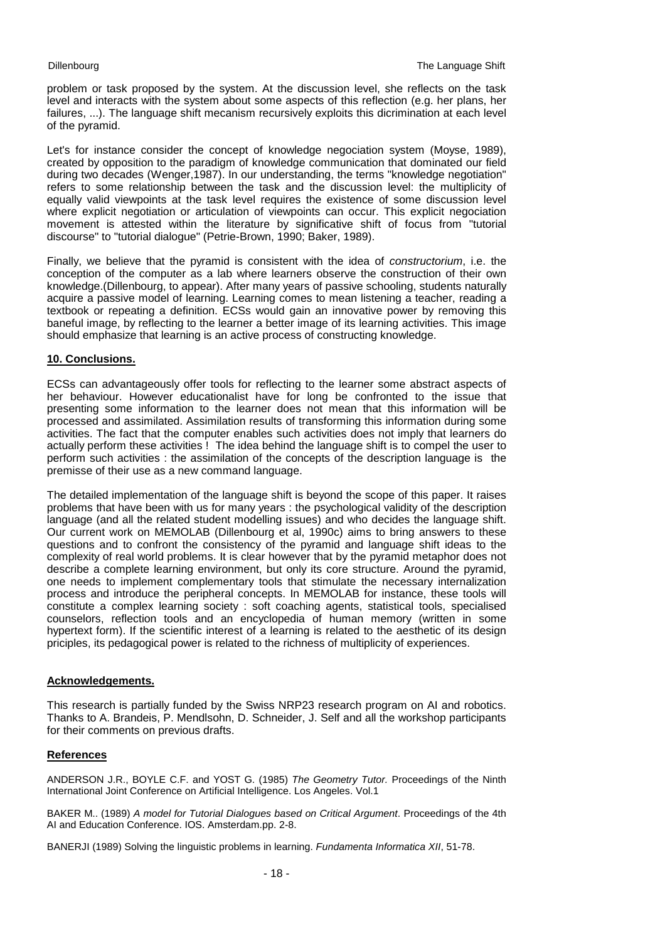problem or task proposed by the system. At the discussion level, she reflects on the task level and interacts with the system about some aspects of this reflection (e.g. her plans, her failures, ...). The language shift mecanism recursively exploits this dicrimination at each level of the pyramid.

Let's for instance consider the concept of knowledge negociation system (Moyse, 1989), created by opposition to the paradigm of knowledge communication that dominated our field during two decades (Wenger,1987). In our understanding, the terms "knowledge negotiation" refers to some relationship between the task and the discussion level: the multiplicity of equally valid viewpoints at the task level requires the existence of some discussion level where explicit negotiation or articulation of viewpoints can occur. This explicit negociation movement is attested within the literature by significative shift of focus from "tutorial discourse" to "tutorial dialogue" (Petrie-Brown, 1990; Baker, 1989).

Finally, we believe that the pyramid is consistent with the idea of *constructorium*, i.e. the conception of the computer as a lab where learners observe the construction of their own knowledge.(Dillenbourg, to appear). After many years of passive schooling, students naturally acquire a passive model of learning. Learning comes to mean listening a teacher, reading a textbook or repeating a definition. ECSs would gain an innovative power by removing this baneful image, by reflecting to the learner a better image of its learning activities. This image should emphasize that learning is an active process of constructing knowledge.

# **10. Conclusions.**

ECSs can advantageously offer tools for reflecting to the learner some abstract aspects of her behaviour. However educationalist have for long be confronted to the issue that presenting some information to the learner does not mean that this information will be processed and assimilated. Assimilation results of transforming this information during some activities. The fact that the computer enables such activities does not imply that learners do actually perform these activities ! The idea behind the language shift is to compel the user to perform such activities : the assimilation of the concepts of the description language is the premisse of their use as a new command language.

The detailed implementation of the language shift is beyond the scope of this paper. It raises problems that have been with us for many years : the psychological validity of the description language (and all the related student modelling issues) and who decides the language shift. Our current work on MEMOLAB (Dillenbourg et al, 1990c) aims to bring answers to these questions and to confront the consistency of the pyramid and language shift ideas to the complexity of real world problems. It is clear however that by the pyramid metaphor does not describe a complete learning environment, but only its core structure. Around the pyramid, one needs to implement complementary tools that stimulate the necessary internalization process and introduce the peripheral concepts. In MEMOLAB for instance, these tools will constitute a complex learning society : soft coaching agents, statistical tools, specialised counselors, reflection tools and an encyclopedia of human memory (written in some hypertext form). If the scientific interest of a learning is related to the aesthetic of its design priciples, its pedagogical power is related to the richness of multiplicity of experiences.

## **Acknowledgements.**

This research is partially funded by the Swiss NRP23 research program on AI and robotics. Thanks to A. Brandeis, P. Mendlsohn, D. Schneider, J. Self and all the workshop participants for their comments on previous drafts.

# **References**

ANDERSON J.R., BOYLE C.F. and YOST G. (1985) *The Geometry Tutor.* Proceedings of the Ninth International Joint Conference on Artificial Intelligence. Los Angeles. Vol.1

BAKER M.. (1989) *A model for Tutorial Dialogues based on Critical Argument*. Proceedings of the 4th AI and Education Conference. IOS. Amsterdam.pp. 2-8.

BANERJI (1989) Solving the linguistic problems in learning. *Fundamenta Informatica XII*, 51-78.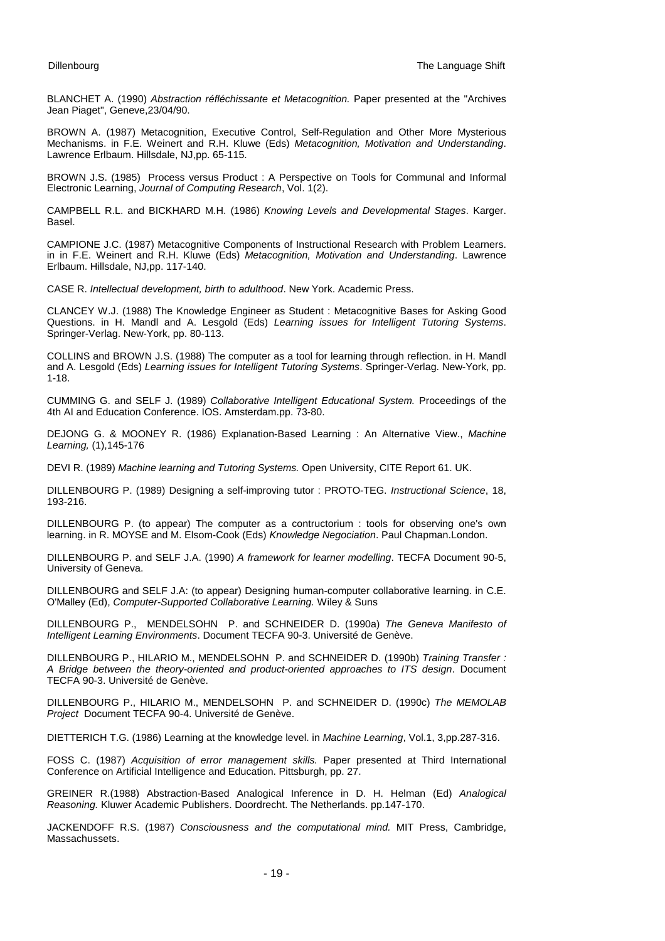BLANCHET A. (1990) *Abstraction réfléchissante et Metacognition.* Paper presented at the "Archives Jean Piaget", Geneve, 23/04/90.

BROWN A. (1987) Metacognition, Executive Control, Self-Regulation and Other More Mysterious Mechanisms. in F.E. Weinert and R.H. Kluwe (Eds) *Metacognition, Motivation and Understanding*. Lawrence Erlbaum. Hillsdale, NJ,pp. 65-115.

BROWN J.S. (1985) Process versus Product : A Perspective on Tools for Communal and Informal Electronic Learning, *Journal of Computing Research*, Vol. 1(2).

CAMPBELL R.L. and BICKHARD M.H. (1986) *Knowing Levels and Developmental Stages*. Karger. Basel.

CAMPIONE J.C. (1987) Metacognitive Components of Instructional Research with Problem Learners. in in F.E. Weinert and R.H. Kluwe (Eds) *Metacognition, Motivation and Understanding*. Lawrence Erlbaum. Hillsdale, NJ,pp. 117-140.

CASE R. *Intellectual development, birth to adulthood*. New York. Academic Press.

CLANCEY W.J. (1988) The Knowledge Engineer as Student : Metacognitive Bases for Asking Good Questions. in H. Mandl and A. Lesgold (Eds) *Learning issues for Intelligent Tutoring Systems*. Springer-Verlag. New-York, pp. 80-113.

COLLINS and BROWN J.S. (1988) The computer as a tool for learning through reflection. in H. Mandl and A. Lesgold (Eds) *Learning issues for Intelligent Tutoring Systems*. Springer-Verlag. New-York, pp. 1-18.

CUMMING G. and SELF J. (1989) *Collaborative Intelligent Educational System.* Proceedings of the 4th AI and Education Conference. IOS. Amsterdam.pp. 73-80.

DEJONG G. & MOONEY R. (1986) Explanation-Based Learning : An Alternative View., *Machine Learning,* (1),145-176

DEVI R. (1989) *Machine learning and Tutoring Systems.* Open University, CITE Report 61. UK.

DILLENBOURG P. (1989) Designing a self-improving tutor : PROTO-TEG. *Instructional Science*, 18, 193-216.

DILLENBOURG P. (to appear) The computer as a contructorium : tools for observing one's own learning. in R. MOYSE and M. Elsom-Cook (Eds) *Knowledge Negociation*. Paul Chapman.London.

DILLENBOURG P. and SELF J.A. (1990) *A framework for learner modelling*. TECFA Document 90-5, University of Geneva.

DILLENBOURG and SELF J.A: (to appear) Designing human-computer collaborative learning. in C.E. O'Malley (Ed), *Computer-Supported Collaborative Learning.* Wiley & Suns

DILLENBOURG P., MENDELSOHN P. and SCHNEIDER D. (1990a) *The Geneva Manifesto of Intelligent Learning Environments*. Document TECFA 90-3. Université de Genève.

DILLENBOURG P., HILARIO M., MENDELSOHN P. and SCHNEIDER D. (1990b) *Training Transfer : A Bridge between the theory-oriented and product-oriented approaches to ITS design*. Document TECFA 90-3. Université de Genève.

DILLENBOURG P., HILARIO M., MENDELSOHN P. and SCHNEIDER D. (1990c) *The MEMOLAB Project* Document TECFA 90-4. Université de Genève.

DIETTERICH T.G. (1986) Learning at the knowledge level. in *Machine Learning*, Vol.1, 3,pp.287-316.

FOSS C. (1987) *Acquisition of error management skills.* Paper presented at Third International Conference on Artificial Intelligence and Education. Pittsburgh, pp. 27.

GREINER R.(1988) Abstraction-Based Analogical Inference in D. H. Helman (Ed) *Analogical Reasoning.* Kluwer Academic Publishers. Doordrecht. The Netherlands. pp.147-170.

JACKENDOFF R.S. (1987) *Consciousness and the computational mind.* MIT Press, Cambridge, Massachussets.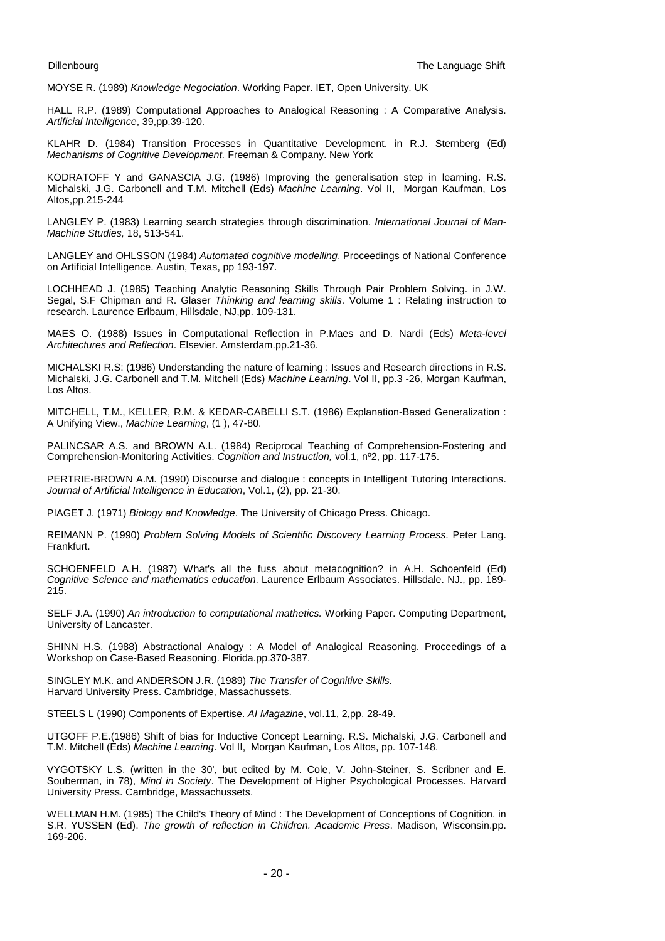MOYSE R. (1989) *Knowledge Negociation*. Working Paper. IET, Open University. UK

HALL R.P. (1989) Computational Approaches to Analogical Reasoning : A Comparative Analysis. *Artificial Intelligence*, 39,pp.39-120.

KLAHR D. (1984) Transition Processes in Quantitative Development. in R.J. Sternberg (Ed) *Mechanisms of Cognitive Development.* Freeman & Company. New York

KODRATOFF Y and GANASCIA J.G. (1986) Improving the generalisation step in learning. R.S. Michalski, J.G. Carbonell and T.M. Mitchell (Eds) *Machine Learning*. Vol II, Morgan Kaufman, Los Altos,pp.215-244

LANGLEY P. (1983) Learning search strategies through discrimination. *International Journal of Man-Machine Studies,* 18, 513-541.

LANGLEY and OHLSSON (1984) *Automated cognitive modelling*, Proceedings of National Conference on Artificial Intelligence. Austin, Texas, pp 193-197.

LOCHHEAD J. (1985) Teaching Analytic Reasoning Skills Through Pair Problem Solving. in J.W. Segal, S.F Chipman and R. Glaser *Thinking and learning skills*. Volume 1 : Relating instruction to research. Laurence Erlbaum, Hillsdale, NJ,pp. 109-131.

MAES O. (1988) Issues in Computational Reflection in P.Maes and D. Nardi (Eds) *Meta-level Architectures and Reflection*. Elsevier. Amsterdam.pp.21-36.

MICHALSKI R.S: (1986) Understanding the nature of learning : Issues and Research directions in R.S. Michalski, J.G. Carbonell and T.M. Mitchell (Eds) *Machine Learning*. Vol II, pp.3 -26, Morgan Kaufman, Los Altos.

MITCHELL, T.M., KELLER, R.M. & KEDAR-CABELLI S.T. (1986) Explanation-Based Generalization : A Unifying View., *Machine Learning*, (1 ), 47-80.

PALINCSAR A.S. and BROWN A.L. (1984) Reciprocal Teaching of Comprehension-Fostering and Comprehension-Monitoring Activities. *Cognition and Instruction,* vol.1, nº2, pp. 117-175.

PERTRIE-BROWN A.M. (1990) Discourse and dialogue : concepts in Intelligent Tutoring Interactions. *Journal of Artificial Intelligence in Education*, Vol.1, (2), pp. 21-30.

PIAGET J. (1971) *Biology and Knowledge*. The University of Chicago Press. Chicago.

REIMANN P. (1990) *Problem Solving Models of Scientific Discovery Learning Process*. Peter Lang. Frankfurt.

SCHOENFELD A.H. (1987) What's all the fuss about metacognition? in A.H. Schoenfeld (Ed) *Cognitive Science and mathematics education*. Laurence Erlbaum Associates. Hillsdale. NJ., pp. 189- 215.

SELF J.A. (1990) *An introduction to computational mathetics.* Working Paper. Computing Department, University of Lancaster.

SHINN H.S. (1988) Abstractional Analogy : A Model of Analogical Reasoning. Proceedings of a Workshop on Case-Based Reasoning. Florida.pp.370-387.

SINGLEY M.K. and ANDERSON J.R. (1989) *The Transfer of Cognitive Skills.* Harvard University Press. Cambridge, Massachussets.

STEELS L (1990) Components of Expertise. *AI Magazine*, vol.11, 2,pp. 28-49.

UTGOFF P.E.(1986) Shift of bias for Inductive Concept Learning. R.S. Michalski, J.G. Carbonell and T.M. Mitchell (Eds) *Machine Learning*. Vol II, Morgan Kaufman, Los Altos, pp. 107-148.

VYGOTSKY L.S. (written in the 30', but edited by M. Cole, V. John-Steiner, S. Scribner and E. Souberman, in 78), *Mind in Society*. The Development of Higher Psychological Processes. Harvard University Press. Cambridge, Massachussets.

WELLMAN H.M. (1985) The Child's Theory of Mind : The Development of Conceptions of Cognition. in S.R. YUSSEN (Ed). *The growth of reflection in Children. Academic Press*. Madison, Wisconsin.pp. 169-206.